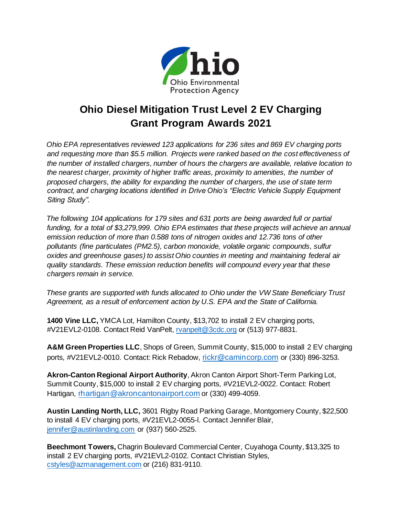

## **Ohio Diesel Mitigation Trust Level 2 EV Charging Grant Program Awards 2021**

*Ohio EPA representatives reviewed 123 applications for 236 sites and 869 EV charging ports and requesting more than \$5.5 million. Projects were ranked based on the cost effectiveness of the number of installed chargers, number of hours the chargers are available, relative location to the nearest charger, proximity of higher traffic areas, proximity to amenities, the number of proposed chargers, the ability for expanding the number of chargers, the use of state term contract, and charging locations identified in Drive Ohio's "Electric Vehicle Supply Equipment Siting Study".* 

*The following 104 applications for 179 sites and 631 ports are being awarded full or partial funding, for a total of \$3,279,999. Ohio EPA estimates that these projects will achieve an annual emission reduction of more than 0.588 tons of nitrogen oxides and 12.736 tons of other pollutants (fine particulates (PM2.5), carbon monoxide, volatile organic compounds, sulfur oxides and greenhouse gases) to assist Ohio counties in meeting and maintaining federal air quality standards. These emission reduction benefits will compound every year that these chargers remain in service.* 

*These grants are supported with funds allocated to Ohio under the VW State Beneficiary Trust Agreement, as a result of enforcement action by U.S. EPA and the State of California.*

**1400 Vine LLC,** YMCA Lot, Hamilton County, \$13,702 to install 2 EV charging ports, #V21EVL2-0108. Contact Reid VanPelt, [rvanpelt@3cdc.org](mailto:rvanpelt@3cdc.org) or (513) 977-8831.

**A&M Green Properties LLC**, Shops of Green, Summit County, \$15,000 to install 2 EV charging ports, #V21EVL2-0010. Contact: Rick Rebadow, [rickr@camincorp.com](mailto:rickr@camincorp.com) or (330) 896-3253.

**Akron-Canton Regional Airport Authority**, Akron Canton Airport Short-Term Parking Lot, Summit County, \$15,000 to install 2 EV charging ports, #V21EVL2-0022. Contact: Robert Hartigan, [rhartigan@akroncantonairport.com](mailto:rhartigan@akroncantonairport.com) or (330) 499-4059.

**Austin Landing North, LLC,** 3601 Rigby Road Parking Garage, Montgomery County, \$22,500 to install 4 EV charging ports, #V21EVL2-0055-l. Contact Jennifer Blair, [jennifer@austinlanding.com](mailto:jennifer@austinlanding.com) or (937) 560-2525.

**Beechmont Towers,** Chagrin Boulevard Commercial Center, Cuyahoga County, \$13,325 to install 2 EV charging ports, #V21EVL2-0102. Contact Christian Styles, [cstyles@azmanagement.com](mailto:cstyles@azmanagement.com) or (216) 831-9110.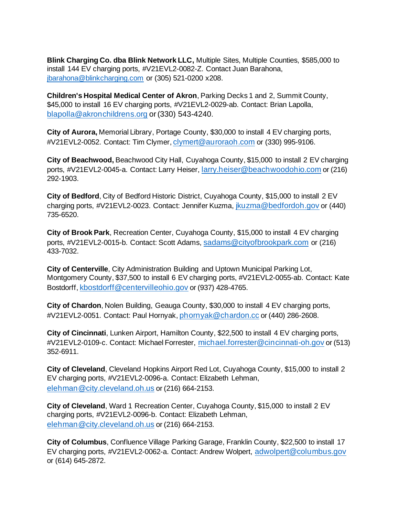**Blink Charging Co. dba Blink Network LLC,** Multiple Sites, Multiple Counties, \$585,000 to install 144 EV charging ports, #V21EVL2-0082-Z. Contact Juan Barahona, [jbarahona@blinkcharging.com](mailto:jbarahona@blinkcharging.com) or (305) 521-0200 x208.

**Children's Hospital Medical Center of Akron**, Parking Decks 1 and 2, Summit County, \$45,000 to install 16 EV charging ports, #V21EVL2-0029-ab. Contact: Brian Lapolla, [blapolla@akronchildrens.org](mailto:blapolla@akronchildrens.org) or (330) 543-4240.

**City of Aurora,** Memorial Library, Portage County, \$30,000 to install 4 EV charging ports, #V21EVL2-0052. Contact: Tim Clymer, [clymert@auroraoh.com](mailto:clymert@auroraoh.com) or (330) 995-9106.

**City of Beachwood,** Beachwood City Hall, Cuyahoga County, \$15,000 to install 2 EV charging ports, #V21EVL2-0045-a. Contact: Larry Heiser, [larry.heiser@beachwoodohio.com](mailto:larry.heiser@beachwoodohio.com) or (216) 292-1903.

**City of Bedford**, City of Bedford Historic District, Cuyahoga County, \$15,000 to install 2 EV charging ports, #V21EVL2-0023. Contact: Jennifer Kuzma, [jkuzma@bedfordoh.gov](mailto:jkuzma@bedfordoh.gov) or (440) 735-6520.

**City of Brook Park**, Recreation Center, Cuyahoga County, \$15,000 to install 4 EV charging ports, #V21EVL2-0015-b. Contact: Scott Adams, [sadams@cityofbrookpark.com](mailto:sadams@cityofbrookpark.com) or (216) 433-7032.

**City of Centerville**, City Administration Building and Uptown Municipal Parking Lot, Montgomery County, \$37,500 to install 6 EV charging ports, #V21EVL2-0055-ab. Contact: Kate Bostdorff, [kbostdorff@centervilleohio.gov](mailto:kbostdorff@centervilleohio.gov) or (937) 428-4765.

**City of Chardon**, Nolen Building, Geauga County, \$30,000 to install 4 EV charging ports, #V21EVL2-0051. Contact: Paul Hornyak, [phornyak@chardon.cc](mailto:phornyak@chardon.cc) or (440) 286-2608.

**City of Cincinnati**, Lunken Airport, Hamilton County, \$22,500 to install 4 EV charging ports, #V21EVL2-0109-c. Contact: Michael Forrester, [michael.forrester@cincinnati-oh.gov](mailto:michael.forrester@cincinnati-oh.gov) or (513) 352-6911.

**City of Cleveland**, Cleveland Hopkins Airport Red Lot, Cuyahoga County, \$15,000 to install 2 EV charging ports, #V21EVL2-0096-a. Contact: Elizabeth Lehman, [elehman@city.cleveland.oh.us](mailto:elehman@city.cleveland.oh.us) or (216) 664-2153.

**City of Cleveland**, Ward 1 Recreation Center, Cuyahoga County, \$15,000 to install 2 EV charging ports, #V21EVL2-0096-b. Contact: Elizabeth Lehman, [elehman@city.cleveland.oh.us](mailto:elehman@city.cleveland.oh.us) or (216) 664-2153.

**City of Columbus**, Confluence Village Parking Garage, Franklin County, \$22,500 to install 17 EV charging ports, #V21EVL2-0062-a. Contact: Andrew Wolpert, [adwolpert@columbus.gov](mailto:adwolpert@columbus.gov) or (614) 645-2872.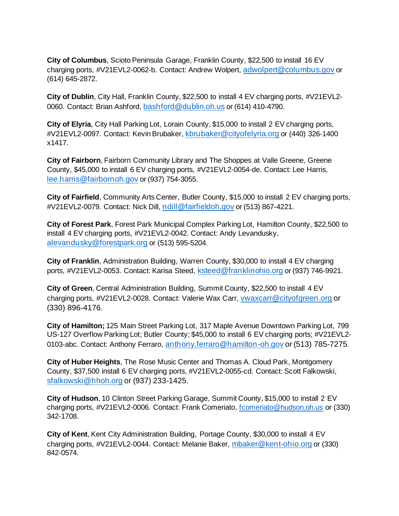**City of Columbus**, Scioto Peninsula Garage, Franklin County, \$22,500 to install 16 EV charging ports, #V21EVL2-0062-b. Contact: Andrew Wolpert, [adwolpert@columbus.gov](mailto:adwolpert@columbus.gov) or (614) 645-2872.

**City of Dublin**, City Hall, Franklin County, \$22,500 to install 4 EV charging ports, #V21EVL2- 0060. Contact: Brian Ashford, [bashford@dublin.oh.us](mailto:bashford@dublin.oh.us) or (614) 410-4790.

**City of Elyria**, City Hall Parking Lot, Lorain County, \$15,000 to install 2 EV charging ports, #V21EVL2-0097. Contact: Kevin Brubaker, [kbrubaker@cityofelyria.org](mailto:kbrubaker@cityofelyria.org) or (440) 326-1400 x1417.

**City of Fairborn**, Fairborn Community Library and The Shoppes at Valle Greene, Greene County, \$45,000 to install 6 EV charging ports, #V21EVL2-0054-de. Contact: Lee Harris, [lee.harris@fairbornoh.gov](mailto:lee.harris@fairbornoh.gov) or (937) 754-3055.

**City of Fairfield**, Community Arts Center, Butler County, \$15,000 to install 2 EV charging ports, #V21EVL2-0079. Contact: Nick Dill, [ndill@fairfieldoh.gov](mailto:ndill@fairfieldoh.gov) or (513) 867-4221.

**City of Forest Park**, Forest Park Municipal Complex Parking Lot, Hamilton County, \$22,500 to install 4 EV charging ports, #V21EVL2-0042. Contact: Andy Levandusky, [alevandusky@forestpark.org](mailto:alevandusky@forestpark.org) or (513) 595-5204.

**City of Franklin**, Administration Building, Warren County, \$30,000 to install 4 EV charging ports, #V21EVL2-0053. Contact: Karisa Steed, [ksteed@franklinohio.org](mailto:ksteed@franklinohio.org) or (937) 746-9921.

**City of Green**, Central Administration Building, Summit County, \$22,500 to install 4 EV charging ports, #V21EVL2-0028. Contact: Valerie Wax Carr, [vwaxcarr@cityofgreen.org](mailto:vwaxcarr@cityofgreen.org) or (330) 896-4176.

**City of Hamilton;** 125 Main Street Parking Lot, 317 Maple Avenue Downtown Parking Lot, 799 US-127 Overflow Parking Lot; Butler County; \$45,000 to install 6 EV charging ports; #V21EVL2- 0103-abc. Contact: Anthony Ferraro, [anthony.ferraro@hamilton-oh.gov](mailto:anthony.ferraro@hamilton-oh.gov) or (513) 785-7275.

**City of Huber Heights**, The Rose Music Center and Thomas A. Cloud Park, Montgomery County, \$37,500 install 6 EV charging ports, #V21EVL2-0055-cd. Contact: Scott Falkowski, [sfalkowski@hhoh.org](mailto:sfalkowski@hhoh.org) or (937) 233-1425.

**City of Hudson**, 10 Clinton Street Parking Garage, Summit County, \$15,000 to install 2 EV charging ports, #V21EVL2-0006. Contact: Frank Comeriato[, fcomeriato@hudson.oh.us](mailto:fcomeriato@hudson.oh.us) or (330) 342-1708.

**City of Kent**, Kent City Administration Building, Portage County, \$30,000 to install 4 EV charging ports, #V21EVL2-0044. Contact: Melanie Baker, [mbaker@kent-ohio.org](mailto:mbaker@kent-ohio.org) or (330) 842-0574.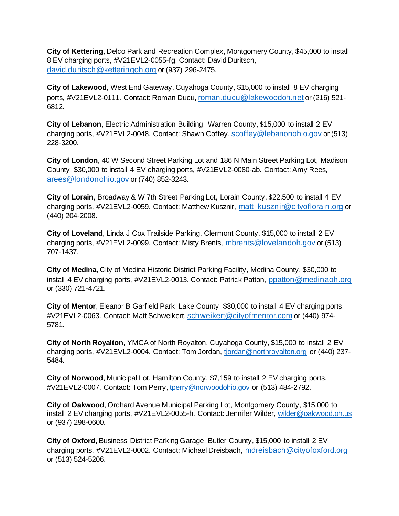**City of Kettering**, Delco Park and Recreation Complex, Montgomery County, \$45,000 to install 8 EV charging ports, #V21EVL2-0055-fg. Contact: David Duritsch, [david.duritsch@ketteringoh.org](mailto:david.duritsch@ketteringoh.org) or (937) 296-2475.

**City of Lakewood**, West End Gateway, Cuyahoga County, \$15,000 to install 8 EV charging ports, #V21EVL2-0111. Contact: Roman Ducu, [roman.ducu@lakewoodoh.net](mailto:roman.ducu@lakewoodoh.net) or (216) 521- 6812.

**City of Lebanon**, Electric Administration Building, Warren County, \$15,000 to install 2 EV charging ports, #V21EVL2-0048. Contact: Shawn Coffey, [scoffey@lebanonohio.gov](mailto:scoffey@lebanonohio.gov) or (513) 228-3200.

**City of London**, 40 W Second Street Parking Lot and 186 N Main Street Parking Lot, Madison County, \$30,000 to install 4 EV charging ports, #V21EVL2-0080-ab. Contact: Amy Rees, [arees@londonohio.gov](mailto:arees@londonohio.gov) or (740) 852-3243.

**City of Lorain**, Broadway & W 7th Street Parking Lot, Lorain County, \$22,500 to install 4 EV charging ports, #V21EVL2-0059. Contact: Matthew Kusznir, [matt\\_kusznir@cityoflorain.org](mailto:matt_kusznir@cityoflorain.org) or (440) 204-2008.

**City of Loveland**, Linda J Cox Trailside Parking, Clermont County, \$15,000 to install 2 EV charging ports, #V21EVL2-0099. Contact: Misty Brents, [mbrents@lovelandoh.gov](mailto:mbrents@lovelandoh.gov) or (513) 707-1437.

**City of Medina**, City of Medina Historic District Parking Facility, Medina County, \$30,000 to install 4 EV charging ports, #V21EVL2-0013. Contact: Patrick Patton, [ppatton@medinaoh.org](mailto:ppatton@medinaoh.org) or (330) 721-4721.

**City of Mentor**, Eleanor B Garfield Park, Lake County, \$30,000 to install 4 EV charging ports, #V21EVL2-0063. Contact: Matt Schweikert, [schweikert@cityofmentor.com](mailto:schweikert@cityofmentor.com) or (440) 974- 5781.

**City of North Royalton**, YMCA of North Royalton, Cuyahoga County, \$15,000 to install 2 EV charging ports, #V21EVL2-0004. Contact: Tom Jordan, [tjordan@northroyalton.org](mailto:tjordan@northroyalton.org) or (440) 237- 5484.

**City of Norwood**, Municipal Lot, Hamilton County, \$7,159 to install 2 EV charging ports, #V21EVL2-0007. Contact: Tom Perry[, tperry@norwoodohio.gov](mailto:tperry@norwoodohio.gov) or (513) 484-2792.

**City of Oakwood**, Orchard Avenue Municipal Parking Lot, Montgomery County, \$15,000 to install 2 EV charging ports, #V21EVL2-0055-h. Contact: Jennifer Wilder, [wilder@oakwood.oh.us](mailto:wilder@oakwood.oh.us) or (937) 298-0600.

**City of Oxford,** Business District Parking Garage, Butler County, \$15,000 to install 2 EV charging ports, #V21EVL2-0002. Contact: Michael Dreisbach, [mdreisbach@cityofoxford.org](mailto:mdreisbach@cityofoxford.org) or (513) 524-5206.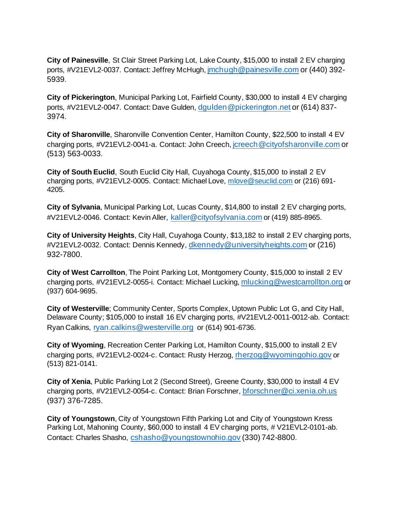**City of Painesville**, St Clair Street Parking Lot, Lake County, \$15,000 to install 2 EV charging ports, #V21EVL2-0037. Contact: Jeffrey McHugh, [jmchugh@painesville.com](mailto:jmchugh@painesville.com) or (440) 392- 5939.

**City of Pickerington**, Municipal Parking Lot, Fairfield County, \$30,000 to install 4 EV charging ports, #V21EVL2-0047. Contact: Dave Gulden, [dgulden@pickerington.net](mailto:dgulden@pickerington.net) or (614) 837- 3974.

**City of Sharonville**, Sharonville Convention Center, Hamilton County, \$22,500 to install 4 EV charging ports, #V21EVL2-0041-a. Contact: John Creech, [jcreech@cityofsharonville.com](mailto:jcreech@cityofsharonville.com) or (513) 563-0033.

**City of South Euclid**, South Euclid City Hall, Cuyahoga County, \$15,000 to install 2 EV charging ports, #V21EVL2-0005. Contact: Michael Love, [mlove@seuclid.com](mailto:mlove@seuclid.com) or (216) 691- 4205.

**City of Sylvania**, Municipal Parking Lot, Lucas County, \$14,800 to install 2 EV charging ports, #V21EVL2-0046. Contact: Kevin Aller, [kaller@cityofsylvania.com](mailto:kaller@cityofsylvania.com) or (419) 885-8965.

**City of University Heights**, City Hall, Cuyahoga County, \$13,182 to install 2 EV charging ports, #V21EVL2-0032. Contact: Dennis Kennedy, [dkennedy@universityheights.com](mailto:dkennedy@universityheights.com) or (216) 932-7800.

**City of West Carrollton**, The Point Parking Lot, Montgomery County, \$15,000 to install 2 EV charging ports, #V21EVL2-0055-i. Contact: Michael Lucking, [mlucking@westcarrollton.org](mailto:mlucking@westcarrollton.org) or (937) 604-9695.

**City of Westerville**; Community Center, Sports Complex, Uptown Public Lot G, and City Hall, Delaware County; \$105,000 to install 16 EV charging ports, #V21EVL2-0011-0012-ab. Contact: Ryan Calkins, [ryan.calkins@westerville.org](mailto:ryan.calkins@westerville.org) or (614) 901-6736.

**City of Wyoming**, Recreation Center Parking Lot, Hamilton County, \$15,000 to install 2 EV charging ports, #V21EVL2-0024-c. Contact: Rusty Herzog, [rherzog@wyomingohio.gov](mailto:rherzog@wyomingohio.gov) or (513) 821-0141.

**City of Xenia**, Public Parking Lot 2 (Second Street), Greene County, \$30,000 to install 4 EV charging ports, #V21EVL2-0054-c. Contact: Brian Forschner, [bforschner@ci.xenia.oh.us](mailto:bforschner@ci.xenia.oh.us) (937) 376-7285.

**City of Youngstown**, City of Youngstown Fifth Parking Lot and City of Youngstown Kress Parking Lot, Mahoning County, \$60,000 to install 4 EV charging ports, # V21EVL2-0101-ab. Contact: Charles Shasho, [cshasho@youngstownohio.gov](mailto:cshasho@youngstownohio.gov) (330) 742-8800.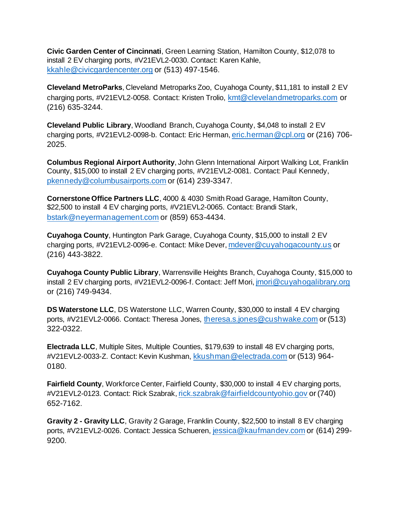**Civic Garden Center of Cincinnati**, Green Learning Station, Hamilton County, \$12,078 to install 2 EV charging ports, #V21EVL2-0030. Contact: Karen Kahle, [kkahle@civicgardencenter.org](mailto:kkahle@civicgardencenter.org) or (513) 497-1546.

**Cleveland MetroParks**, Cleveland Metroparks Zoo, Cuyahoga County, \$11,181 to install 2 EV charging ports, #V21EVL2-0058. Contact: Kristen Trolio, [kmt@clevelandmetroparks.com](mailto:kmt@clevelandmetroparks.com) or (216) 635-3244.

**Cleveland Public Library**, Woodland Branch, Cuyahoga County, \$4,048 to install 2 EV charging ports, #V21EVL2-0098-b. Contact: Eric Herman, [eric.herman@cpl.org](mailto:eric.herman@cpl.org) or (216) 706- 2025.

**Columbus Regional Airport Authority**, John Glenn International Airport Walking Lot, Franklin County, \$15,000 to install 2 EV charging ports, #V21EVL2-0081. Contact: Paul Kennedy, [pkennedy@columbusairports.com](mailto:pkennedy@columbusairports.com) or (614) 239-3347.

**Cornerstone Office Partners LLC**, 4000 & 4030 Smith Road Garage, Hamilton County, \$22,500 to install 4 EV charging ports, #V21EVL2-0065. Contact: Brandi Stark, [bstark@neyermanagement.com](mailto:bstark@neyermanagement.com) or (859) 653-4434.

**Cuyahoga County**, Huntington Park Garage, Cuyahoga County, \$15,000 to install 2 EV charging ports, #V21EVL2-0096-e. Contact: Mike Dever, [mdever@cuyahogacounty.us](mailto:mdever@cuyahogacounty.us) or (216) 443-3822.

**Cuyahoga County Public Library**, Warrensville Heights Branch, Cuyahoga County, \$15,000 to install 2 EV charging ports, #V21EVL2-0096-f. Contact: Jeff Mori, [jmori@cuyahogalibrary.org](mailto:jmori@cuyahogalibrary.org) or (216) 749-9434.

**DS Waterstone LLC**, DS Waterstone LLC, Warren County, \$30,000 to install 4 EV charging ports, #V21EVL2-0066. Contact: Theresa Jones, [theresa.s.jones@cushwake.com](mailto:theresa.s.jones@cushwake.com) or (513) 322-0322.

**Electrada LLC**, Multiple Sites, Multiple Counties, \$179,639 to install 48 EV charging ports, #V21EVL2-0033-Z. Contact: Kevin Kushman, [kkushman@electrada.com](mailto:kkushman@electrada.com) or (513) 964- 0180.

**Fairfield County**, Workforce Center, Fairfield County, \$30,000 to install 4 EV charging ports, #V21EVL2-0123. Contact: Rick Szabrak, [rick.szabrak@fairfieldcountyohio.gov](mailto:rick.szabrak@fairfieldcountyohio.gov) or (740) 652-7162.

**Gravity 2 - Gravity LLC**, Gravity 2 Garage, Franklin County, \$22,500 to install 8 EV charging ports, #V21EVL2-0026. Contact: Jessica Schueren, [jessica@kaufmandev.com](mailto:jessica@kaufmandev.com) or (614) 299- 9200.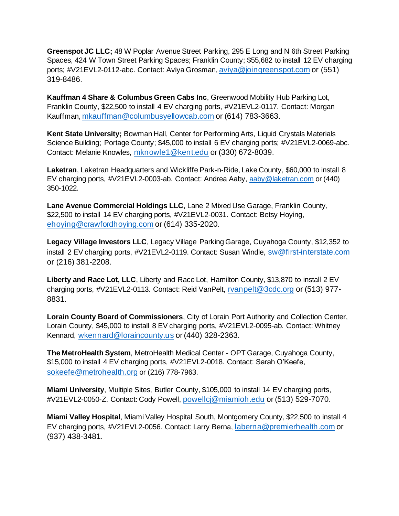**Greenspot JC LLC;** 48 W Poplar Avenue Street Parking, 295 E Long and N 6th Street Parking Spaces, 424 W Town Street Parking Spaces; Franklin County; \$55,682 to install 12 EV charging ports; #V21EVL2-0112-abc. Contact: Aviya Grosman, [aviya@joingreenspot.com](mailto:aviya@joingreenspot.com) or (551) 319-8486.

**Kauffman 4 Share & Columbus Green Cabs Inc**, Greenwood Mobility Hub Parking Lot, Franklin County, \$22,500 to install 4 EV charging ports, #V21EVL2-0117. Contact: Morgan Kauffman, [mkauffman@columbusyellowcab.com](mailto:mkauffman@columbusyellowcab.com) or (614) 783-3663.

**Kent State University;** Bowman Hall, Center for Performing Arts, Liquid Crystals Materials Science Building; Portage County; \$45,000 to install 6 EV charging ports; #V21EVL2-0069-abc. Contact: Melanie Knowles, [mknowle1@kent.edu](mailto:mknowle1@kent.edu) or (330) 672-8039.

**Laketran**, Laketran Headquarters and Wickliffe Park-n-Ride, Lake County, \$60,000 to install 8 EV charging ports, #V21EVL2-0003-ab. Contact: Andrea Aaby, [aaby@laketran.com](mailto:aaby@laketran.com) or (440) 350-1022.

**Lane Avenue Commercial Holdings LLC**, Lane 2 Mixed Use Garage, Franklin County, \$22,500 to install 14 EV charging ports, #V21EVL2-0031. Contact: Betsy Hoying, [ehoying@crawfordhoying.com](mailto:ehoying@crawfordhoying.com) or (614) 335-2020.

**Legacy Village Investors LLC**, Legacy Village Parking Garage, Cuyahoga County, \$12,352 to install 2 EV charging ports, #V21EVL2-0119. Contact: Susan Windle, [sw@first-interstate.com](mailto:sw@first-interstate.com) or (216) 381-2208.

**Liberty and Race Lot, LLC**, Liberty and Race Lot, Hamilton County, \$13,870 to install 2 EV charging ports, #V21EVL2-0113. Contact: Reid VanPelt, [rvanpelt@3cdc.org](mailto:rvanpelt@3cdc.org) or (513) 977- 8831.

**Lorain County Board of Commissioners**, City of Lorain Port Authority and Collection Center, Lorain County, \$45,000 to install 8 EV charging ports, #V21EVL2-0095-ab. Contact: Whitney Kennard, [wkennard@loraincounty.us](mailto:wkennard@loraincounty.us) or (440) 328-2363.

**The MetroHealth System**, MetroHealth Medical Center - OPT Garage, Cuyahoga County, \$15,000 to install 4 EV charging ports, #V21EVL2-0018. Contact: Sarah O'Keefe, [sokeefe@metrohealth.org](mailto:sokeefe@metrohealth.org) or (216) 778-7963.

**Miami University**, Multiple Sites, Butler County, \$105,000 to install 14 EV charging ports, #V21EVL2-0050-Z. Contact: Cody Powell, [powellcj@miamioh.edu](mailto:powellcj@miamioh.edu) or (513) 529-7070.

**Miami Valley Hospital**, Miami Valley Hospital South, Montgomery County, \$22,500 to install 4 EV charging ports, #V21EVL2-0056. Contact: Larry Berna, [laberna@premierhealth.com](mailto:laberna@premierhealth.com) or (937) 438-3481.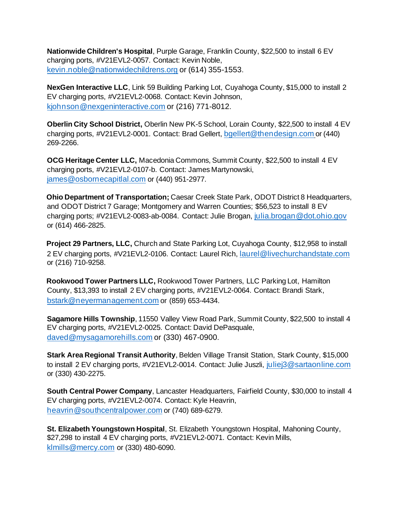**Nationwide Children's Hospital**, Purple Garage, Franklin County, \$22,500 to install 6 EV charging ports, #V21EVL2-0057. Contact: Kevin Noble, [kevin.noble@nationwidechildrens.org](mailto:kevin.noble@nationwidechildrens.org) or (614) 355-1553.

**NexGen Interactive LLC**, Link 59 Building Parking Lot, Cuyahoga County, \$15,000 to install 2 EV charging ports, #V21EVL2-0068. Contact: Kevin Johnson, [kjohnson@nexgeninteractive.com](mailto:kjohnson@nexgeninteractive.com) or (216) 771-8012.

**Oberlin City School District,** Oberlin New PK-5 School, Lorain County, \$22,500 to install 4 EV charging ports, #V21EVL2-0001. Contact: Brad Gellert, [bgellert@thendesign.com](mailto:bgellert@thendesign.com) or (440) 269-2266.

**OCG Heritage Center LLC,** Macedonia Commons, Summit County, \$22,500 to install 4 EV charging ports, #V21EVL2-0107-b. Contact: James Martynowski, [james@osbornecapitlal.com](mailto:james@osbornecapitlal.com) or (440) 951-2977.

**Ohio Department of Transportation;** Caesar Creek State Park, ODOT District 8 Headquarters, and ODOT District 7 Garage; Montgomery and Warren Counties; \$56,523 to install 8 EV charging ports; #V21EVL2-0083-ab-0084. Contact: Julie Brogan, [julia.brogan@dot.ohio.gov](mailto:julia.brogan@dot.ohio.gov) or (614) 466-2825.

**Project 29 Partners, LLC,** Church and State Parking Lot, Cuyahoga County, \$12,958 to install 2 EV charging ports, #V21EVL2-0106. Contact: Laurel Rich, [laurel@livechurchandstate.com](mailto:laurel@livechurchandstate.com) or (216) 710-9258.

**Rookwood Tower Partners LLC,** Rookwood Tower Partners, LLC Parking Lot, Hamilton County, \$13,393 to install 2 EV charging ports, #V21EVL2-0064. Contact: Brandi Stark, [bstark@neyermanagement.com](mailto:bstark@neyermanagement.com) or (859) 653-4434.

**Sagamore Hills Township**, 11550 Valley View Road Park, Summit County, \$22,500 to install 4 EV charging ports, #V21EVL2-0025. Contact: David DePasquale, [daved@mysagamorehills.com](mailto:daved@mysagamorehills.com) or (330) 467-0900.

**Stark Area Regional Transit Authority**, Belden Village Transit Station, Stark County, \$15,000 to install 2 EV charging ports, #V21EVL2-0014. Contact: Julie Juszli, [juliej3@sartaonline.com](mailto:juliej3@sartaonline.com) or (330) 430-2275.

**South Central Power Company**, Lancaster Headquarters, Fairfield County, \$30,000 to install 4 EV charging ports, #V21EVL2-0074. Contact: Kyle Heavrin, [heavrin@southcentralpower.com](mailto:heavrin@southcentralpower.com) or (740) 689-6279.

**St. Elizabeth Youngstown Hospital**, St. Elizabeth Youngstown Hospital, Mahoning County, \$27,298 to install 4 EV charging ports, #V21EVL2-0071. Contact: Kevin Mills, [klmills@mercy.com](mailto:klmills@mercy.com) or (330) 480-6090.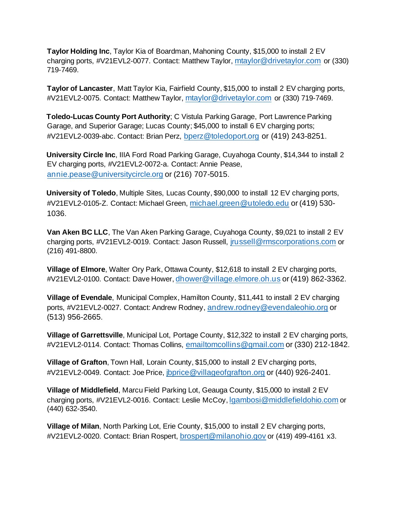**Taylor Holding Inc**, Taylor Kia of Boardman, Mahoning County, \$15,000 to install 2 EV charging ports, #V21EVL2-0077. Contact: Matthew Taylor, [mtaylor@drivetaylor.com](mailto:mtaylor@drivetaylor.com) or (330) 719-7469.

**Taylor of Lancaster**, Matt Taylor Kia, Fairfield County, \$15,000 to install 2 EV charging ports, #V21EVL2-0075. Contact: Matthew Taylor, [mtaylor@drivetaylor.com](mailto:mtaylor@drivetaylor.com) or (330) 719-7469.

**Toledo-Lucas County Port Authority**; C Vistula Parking Garage, Port Lawrence Parking Garage, and Superior Garage; Lucas County; \$45,000 to install 6 EV charging ports; #V21EVL2-0039-abc. Contact: Brian Perz, [bperz@toledoport.org](mailto:bperz@toledoport.org) or (419) 243-8251.

**University Circle Inc**, IIIA Ford Road Parking Garage, Cuyahoga County, \$14,344 to install 2 EV charging ports, #V21EVL2-0072-a. Contact: Annie Pease, [annie.pease@universitycircle.org](mailto:annie.pease@universitycircle.org) or (216) 707-5015.

**University of Toledo**, Multiple Sites, Lucas County, \$90,000 to install 12 EV charging ports, #V21EVL2-0105-Z. Contact: Michael Green, [michael.green@utoledo.edu](mailto:michael.green@utoledo.edu) or (419) 530- 1036.

**Van Aken BC LLC**, The Van Aken Parking Garage, Cuyahoga County, \$9,021 to install 2 EV charging ports, #V21EVL2-0019. Contact: Jason Russell, [jrussell@rmscorporations.com](mailto:jrussell@rmscorporations.com) or (216) 491-8800.

**Village of Elmore**, Walter Ory Park, Ottawa County, \$12,618 to install 2 EV charging ports, #V21EVL2-0100. Contact: Dave Hower, *[dhower@village.elmore.oh.us](mailto:dhower@village.elmore.oh.us) or (419) 862-3362.* 

**Village of Evendale**, Municipal Complex, Hamilton County, \$11,441 to install 2 EV charging ports, #V21EVL2-0027. Contact: Andrew Rodney, [andrew.rodney@evendaleohio.org](mailto:andrew.rodney@evendaleohio.org) or (513) 956-2665.

**Village of Garrettsville**, Municipal Lot, Portage County, \$12,322 to install 2 EV charging ports, #V21EVL2-0114. Contact: Thomas Collins, [emailtomcollins@gmail.com](mailto:emailtomcollins@gmail.com) or (330) 212-1842.

**Village of Grafton**, Town Hall, Lorain County, \$15,000 to install 2 EV charging ports, #V21EVL2-0049. Contact: Joe Price, *[jbprice@villageofgrafton.org](mailto:jbprice@villageofgrafton.org)* or (440) 926-2401.

**Village of Middlefield**, Marcu Field Parking Lot, Geauga County, \$15,000 to install 2 EV charging ports, #V21EVL2-0016. Contact: Leslie McCoy, [lgambosi@middlefieldohio.com](mailto:lgambosi@middlefieldohio.com) or (440) 632-3540.

**Village of Milan**, North Parking Lot, Erie County, \$15,000 to install 2 EV charging ports, #V21EVL2-0020. Contact: Brian Rospert, [brospert@milanohio.gov](mailto:brospert@milanohio.gov) or (419) 499-4161 x3.